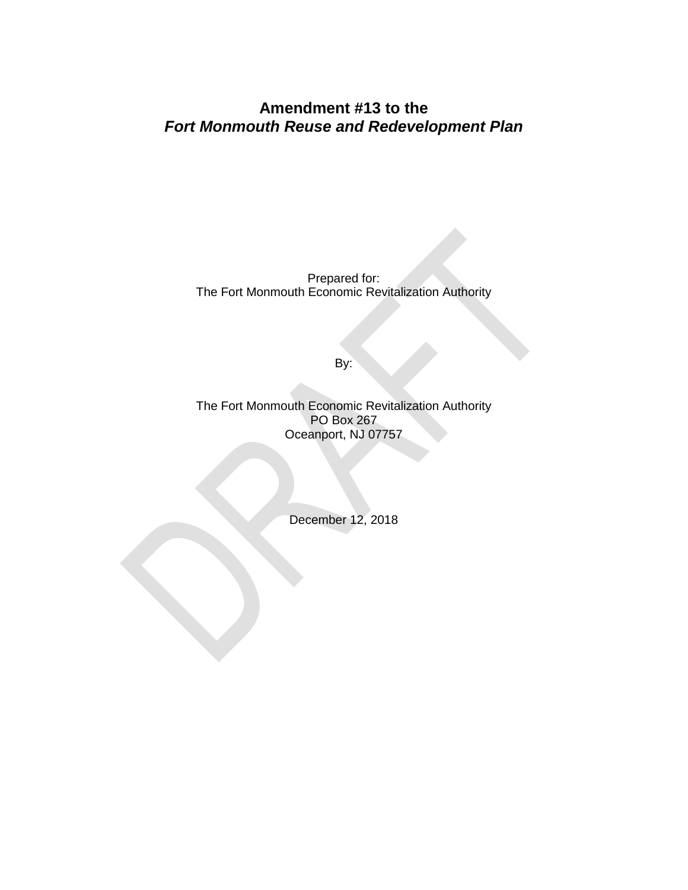## **Amendment #13 to the**  *Fort Monmouth Reuse and Redevelopment Plan*

Prepared for: The Fort Monmouth Economic Revitalization Authority

By:

The Fort Monmouth Economic Revitalization Authority PO Box 267 Oceanport, NJ 07757

December 12, 2018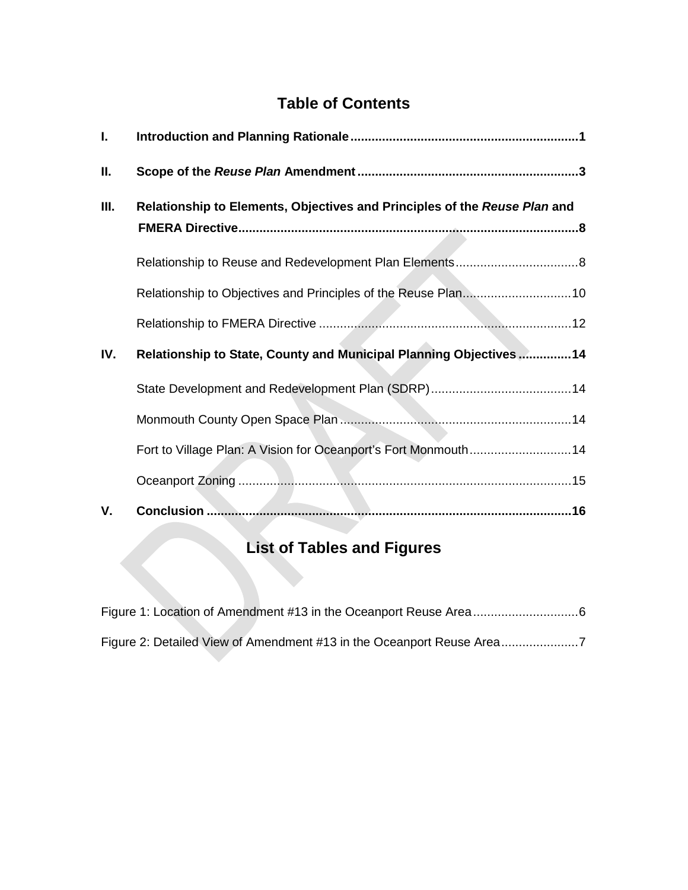# **Table of Contents**

| Ι.  |                                                                           |  |
|-----|---------------------------------------------------------------------------|--|
| Ш.  |                                                                           |  |
| Ш.  | Relationship to Elements, Objectives and Principles of the Reuse Plan and |  |
|     |                                                                           |  |
|     |                                                                           |  |
|     |                                                                           |  |
| IV. | Relationship to State, County and Municipal Planning Objectives  14       |  |
|     |                                                                           |  |
|     |                                                                           |  |
|     | Fort to Village Plan: A Vision for Oceanport's Fort Monmouth14            |  |
|     |                                                                           |  |
| V.  |                                                                           |  |

# **List of Tables and Figures**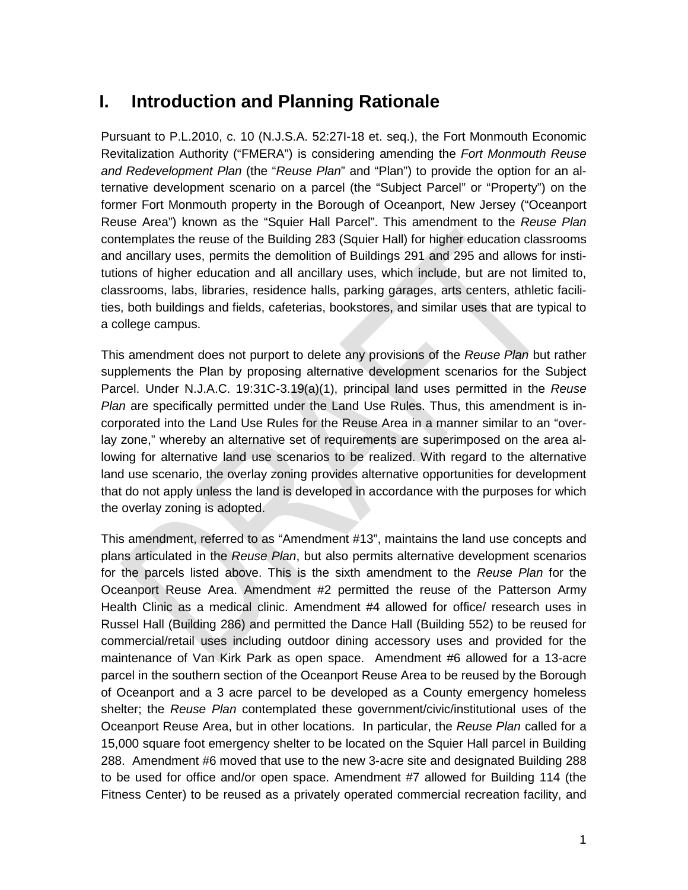## <span id="page-2-0"></span>**I. Introduction and Planning Rationale**

Pursuant to P.L.2010, c. 10 (N.J.S.A. 52:27I-18 et. seq.), the Fort Monmouth Economic Revitalization Authority ("FMERA") is considering amending the *Fort Monmouth Reuse and Redevelopment Plan* (the "*Reuse Plan*" and "Plan") to provide the option for an alternative development scenario on a parcel (the "Subject Parcel" or "Property") on the former Fort Monmouth property in the Borough of Oceanport, New Jersey ("Oceanport Reuse Area") known as the "Squier Hall Parcel". This amendment to the *Reuse Plan* contemplates the reuse of the Building 283 (Squier Hall) for higher education classrooms and ancillary uses, permits the demolition of Buildings 291 and 295 and allows for institutions of higher education and all ancillary uses, which include, but are not limited to, classrooms, labs, libraries, residence halls, parking garages, arts centers, athletic facilities, both buildings and fields, cafeterias, bookstores, and similar uses that are typical to a college campus.

This amendment does not purport to delete any provisions of the *Reuse Plan* but rather supplements the Plan by proposing alternative development scenarios for the Subject Parcel. Under N.J.A.C. 19:31C-3.19(a)(1), principal land uses permitted in the *Reuse Plan* are specifically permitted under the Land Use Rules. Thus, this amendment is incorporated into the Land Use Rules for the Reuse Area in a manner similar to an "overlay zone," whereby an alternative set of requirements are superimposed on the area allowing for alternative land use scenarios to be realized. With regard to the alternative land use scenario, the overlay zoning provides alternative opportunities for development that do not apply unless the land is developed in accordance with the purposes for which the overlay zoning is adopted.

This amendment, referred to as "Amendment #13", maintains the land use concepts and plans articulated in the *Reuse Plan*, but also permits alternative development scenarios for the parcels listed above. This is the sixth amendment to the *Reuse Plan* for the Oceanport Reuse Area. Amendment #2 permitted the reuse of the Patterson Army Health Clinic as a medical clinic. Amendment #4 allowed for office/ research uses in Russel Hall (Building 286) and permitted the Dance Hall (Building 552) to be reused for commercial/retail uses including outdoor dining accessory uses and provided for the maintenance of Van Kirk Park as open space. Amendment #6 allowed for a 13-acre parcel in the southern section of the Oceanport Reuse Area to be reused by the Borough of Oceanport and a 3 acre parcel to be developed as a County emergency homeless shelter; the *Reuse Plan* contemplated these government/civic/institutional uses of the Oceanport Reuse Area, but in other locations. In particular, the *Reuse Plan* called for a 15,000 square foot emergency shelter to be located on the Squier Hall parcel in Building 288. Amendment #6 moved that use to the new 3-acre site and designated Building 288 to be used for office and/or open space. Amendment #7 allowed for Building 114 (the Fitness Center) to be reused as a privately operated commercial recreation facility, and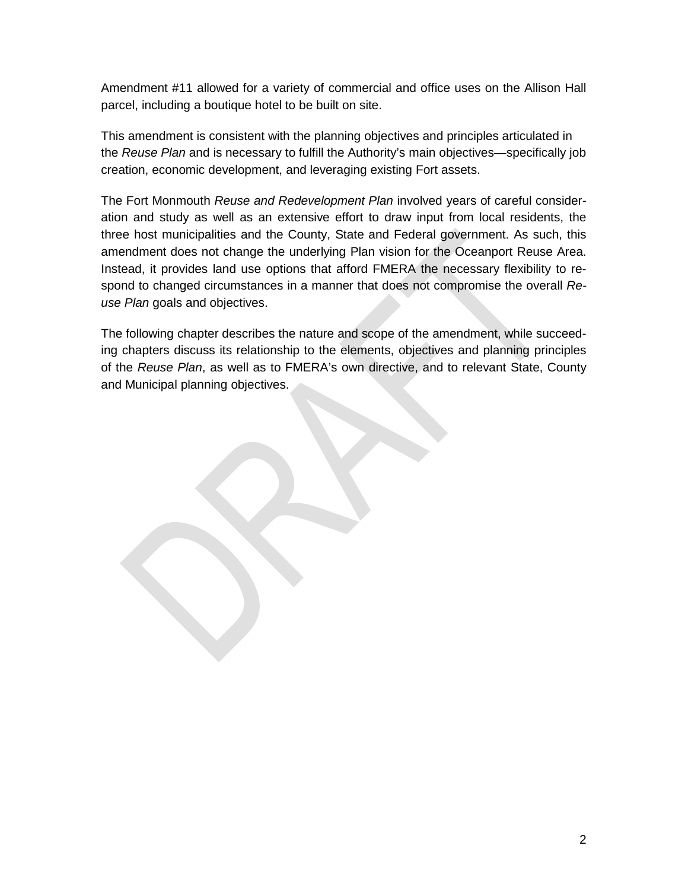Amendment #11 allowed for a variety of commercial and office uses on the Allison Hall parcel, including a boutique hotel to be built on site.

This amendment is consistent with the planning objectives and principles articulated in the *Reuse Plan* and is necessary to fulfill the Authority's main objectives—specifically job creation, economic development, and leveraging existing Fort assets.

The Fort Monmouth *Reuse and Redevelopment Plan* involved years of careful consideration and study as well as an extensive effort to draw input from local residents, the three host municipalities and the County, State and Federal government. As such, this amendment does not change the underlying Plan vision for the Oceanport Reuse Area. Instead, it provides land use options that afford FMERA the necessary flexibility to respond to changed circumstances in a manner that does not compromise the overall *Reuse Plan* goals and objectives.

The following chapter describes the nature and scope of the amendment, while succeeding chapters discuss its relationship to the elements, objectives and planning principles of the *Reuse Plan*, as well as to FMERA's own directive, and to relevant State, County and Municipal planning objectives.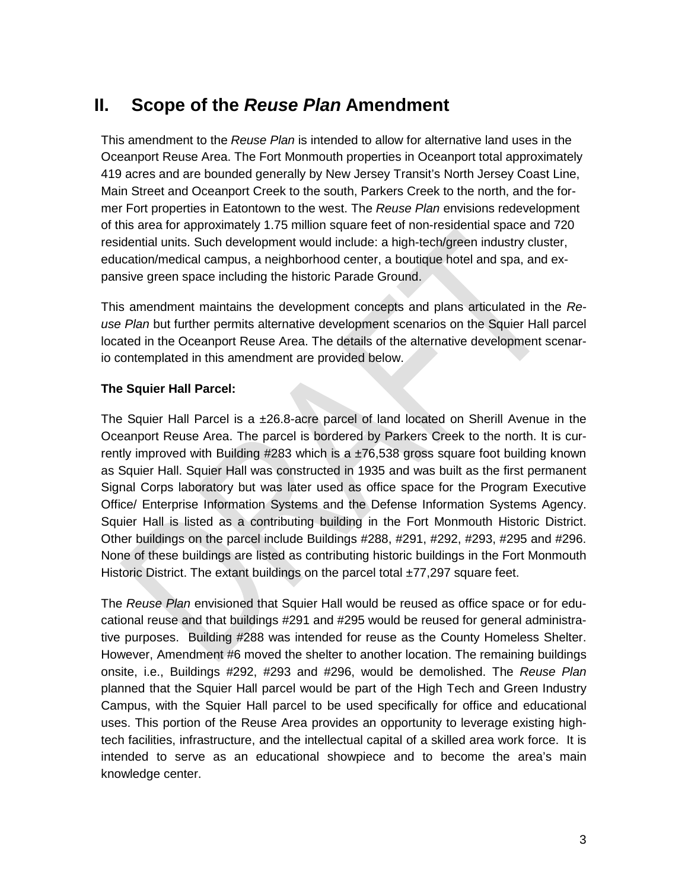## <span id="page-4-0"></span>**II. Scope of the** *Reuse Plan* **Amendment**

This amendment to the *Reuse Plan* is intended to allow for alternative land uses in the Oceanport Reuse Area. The Fort Monmouth properties in Oceanport total approximately 419 acres and are bounded generally by New Jersey Transit's North Jersey Coast Line, Main Street and Oceanport Creek to the south, Parkers Creek to the north, and the former Fort properties in Eatontown to the west. The *Reuse Plan* envisions redevelopment of this area for approximately 1.75 million square feet of non-residential space and 720 residential units. Such development would include: a high-tech/green industry cluster, education/medical campus, a neighborhood center, a boutique hotel and spa, and expansive green space including the historic Parade Ground.

This amendment maintains the development concepts and plans articulated in the *Reuse Plan* but further permits alternative development scenarios on the Squier Hall parcel located in the Oceanport Reuse Area. The details of the alternative development scenario contemplated in this amendment are provided below.

#### **The Squier Hall Parcel:**

The Squier Hall Parcel is a  $\pm 26.8$ -acre parcel of land located on Sherill Avenue in the Oceanport Reuse Area. The parcel is bordered by Parkers Creek to the north. It is currently improved with Building  $\#283$  which is a  $\pm 76,538$  gross square foot building known as Squier Hall. Squier Hall was constructed in 1935 and was built as the first permanent Signal Corps laboratory but was later used as office space for the Program Executive Office/ Enterprise Information Systems and the Defense Information Systems Agency. Squier Hall is listed as a contributing building in the Fort Monmouth Historic District. Other buildings on the parcel include Buildings #288, #291, #292, #293, #295 and #296. None of these buildings are listed as contributing historic buildings in the Fort Monmouth Historic District. The extant buildings on the parcel total ±77,297 square feet.

The *Reuse Plan* envisioned that Squier Hall would be reused as office space or for educational reuse and that buildings #291 and #295 would be reused for general administrative purposes. Building #288 was intended for reuse as the County Homeless Shelter. However, Amendment #6 moved the shelter to another location. The remaining buildings onsite, i.e., Buildings #292, #293 and #296, would be demolished. The *Reuse Plan* planned that the Squier Hall parcel would be part of the High Tech and Green Industry Campus, with the Squier Hall parcel to be used specifically for office and educational uses. This portion of the Reuse Area provides an opportunity to leverage existing hightech facilities, infrastructure, and the intellectual capital of a skilled area work force. It is intended to serve as an educational showpiece and to become the area's main knowledge center.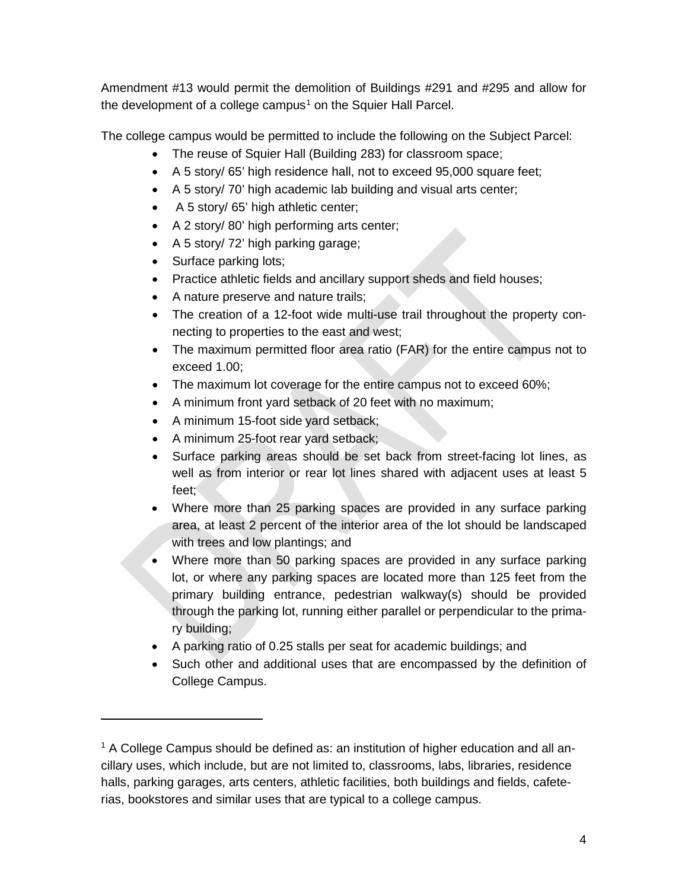Amendment #13 would permit the demolition of Buildings #291 and #295 and allow for the development of a college campus<sup>[1](#page-5-0)</sup> on the Squier Hall Parcel.

The college campus would be permitted to include the following on the Subject Parcel:

- The reuse of Squier Hall (Building 283) for classroom space;
- A 5 story/ 65' high residence hall, not to exceed 95,000 square feet;
- A 5 story/ 70' high academic lab building and visual arts center;
- A 5 story/ 65' high athletic center;
- A 2 story/ 80' high performing arts center;
- A 5 story/ 72' high parking garage;
- Surface parking lots;

 $\overline{a}$ 

- Practice athletic fields and ancillary support sheds and field houses;
- A nature preserve and nature trails;
- The creation of a 12-foot wide multi-use trail throughout the property connecting to properties to the east and west;
- The maximum permitted floor area ratio (FAR) for the entire campus not to exceed 1.00;
- The maximum lot coverage for the entire campus not to exceed 60%;
- A minimum front yard setback of 20 feet with no maximum;
- A minimum 15-foot side yard setback;
- A minimum 25-foot rear yard setback;
- Surface parking areas should be set back from street-facing lot lines, as well as from interior or rear lot lines shared with adjacent uses at least 5 feet;
- Where more than 25 parking spaces are provided in any surface parking area, at least 2 percent of the interior area of the lot should be landscaped with trees and low plantings; and
- Where more than 50 parking spaces are provided in any surface parking lot, or where any parking spaces are located more than 125 feet from the primary building entrance, pedestrian walkway(s) should be provided through the parking lot, running either parallel or perpendicular to the primary building;
- A parking ratio of 0.25 stalls per seat for academic buildings; and
- Such other and additional uses that are encompassed by the definition of College Campus.

<span id="page-5-0"></span> $1$  A College Campus should be defined as: an institution of higher education and all ancillary uses, which include, but are not limited to, classrooms, labs, libraries, residence halls, parking garages, arts centers, athletic facilities, both buildings and fields, cafeterias, bookstores and similar uses that are typical to a college campus.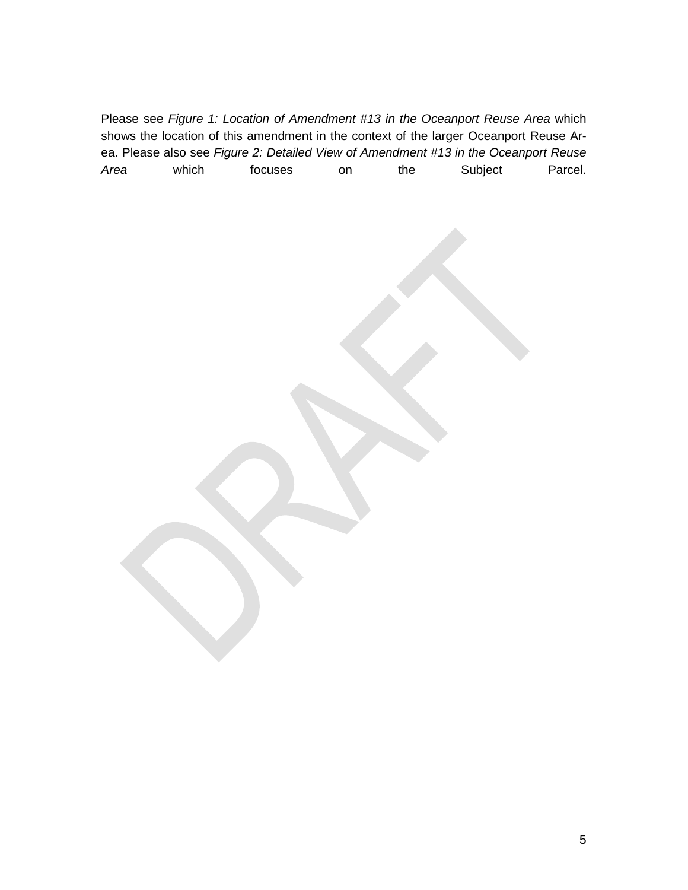Please see *Figure 1: Location of Amendment #13 in the Oceanport Reuse Area* which shows the location of this amendment in the context of the larger Oceanport Reuse Area. Please also see *Figure 2: Detailed View of Amendment #13 in the Oceanport Reuse Area* which focuses on the Subject Parcel.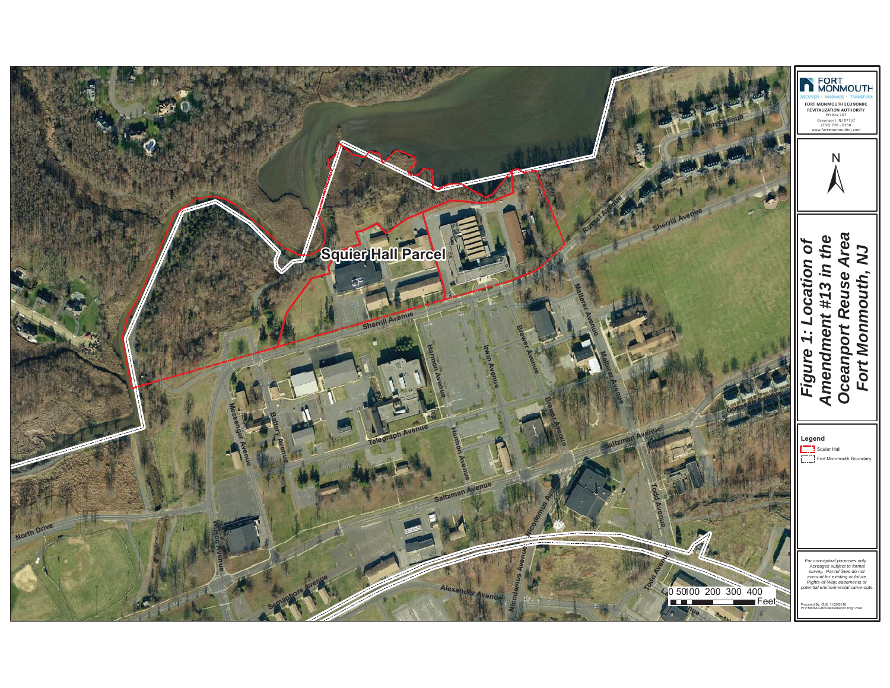<span id="page-7-0"></span>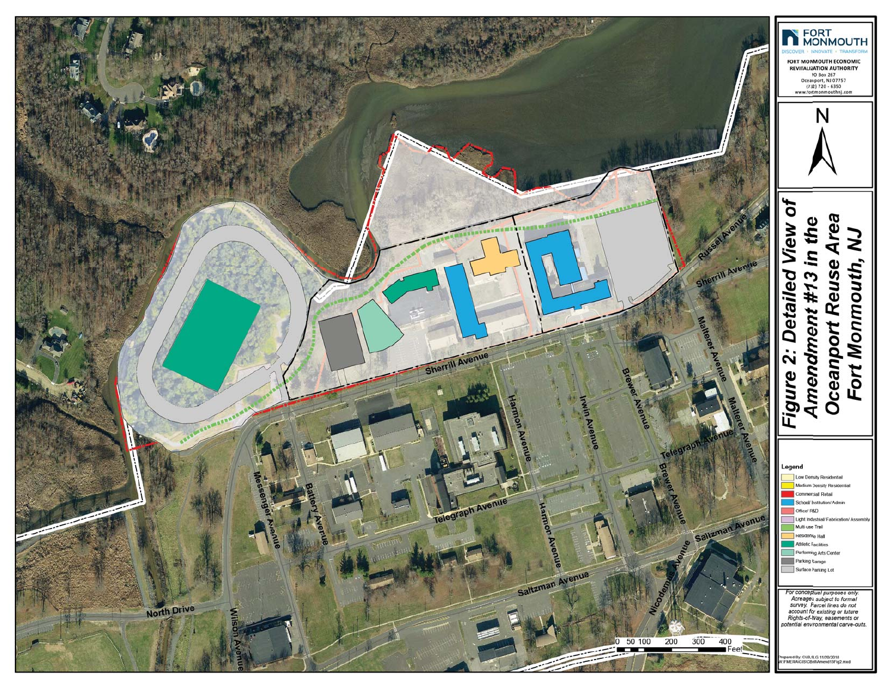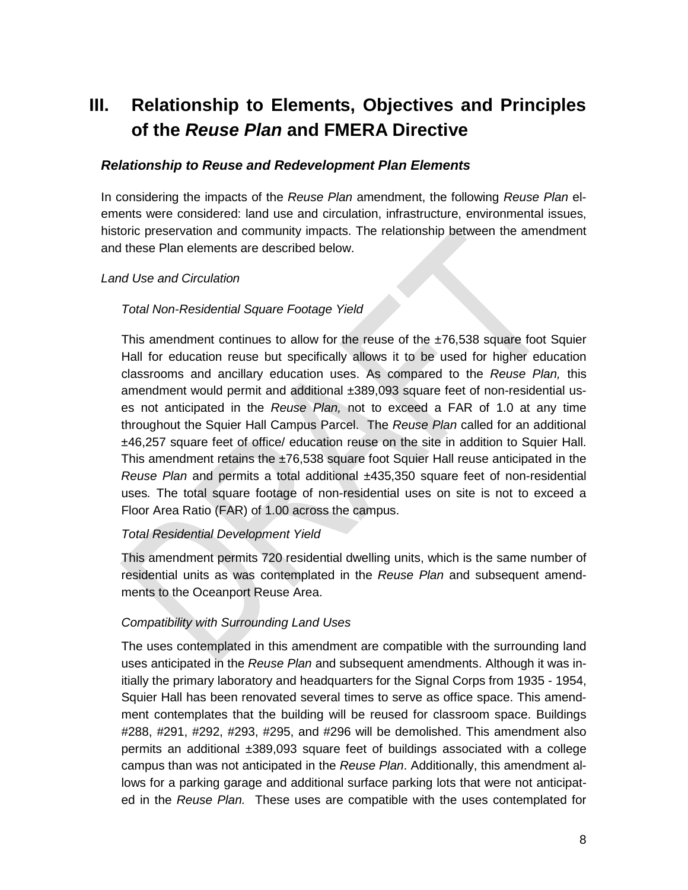# <span id="page-9-0"></span>**III. Relationship to Elements, Objectives and Principles of the** *Reuse Plan* **and FMERA Directive**

#### <span id="page-9-1"></span>*Relationship to Reuse and Redevelopment Plan Elements*

In considering the impacts of the *Reuse Plan* amendment, the following *Reuse Plan* elements were considered: land use and circulation, infrastructure, environmental issues, historic preservation and community impacts. The relationship between the amendment and these Plan elements are described below.

#### *Land Use and Circulation*

#### *Total Non-Residential Square Footage Yield*

This amendment continues to allow for the reuse of the ±76,538 square foot Squier Hall for education reuse but specifically allows it to be used for higher education classrooms and ancillary education uses. As compared to the *Reuse Plan,* this amendment would permit and additional ±389,093 square feet of non-residential uses not anticipated in the *Reuse Plan,* not to exceed a FAR of 1.0 at any time throughout the Squier Hall Campus Parcel.The *Reuse Plan* called for an additional ±46,257 square feet of office/ education reuse on the site in addition to Squier Hall. This amendment retains the  $\pm 76.538$  square foot Squier Hall reuse anticipated in the *Reuse Plan* and permits a total additional ±435,350 square feet of non-residential uses*.* The total square footage of non-residential uses on site is not to exceed a Floor Area Ratio (FAR) of 1.00 across the campus.

#### *Total Residential Development Yield*

This amendment permits 720 residential dwelling units, which is the same number of residential units as was contemplated in the *Reuse Plan* and subsequent amendments to the Oceanport Reuse Area.

#### *Compatibility with Surrounding Land Uses*

The uses contemplated in this amendment are compatible with the surrounding land uses anticipated in the *Reuse Plan* and subsequent amendments. Although it was initially the primary laboratory and headquarters for the Signal Corps from 1935 - 1954, Squier Hall has been renovated several times to serve as office space. This amendment contemplates that the building will be reused for classroom space. Buildings #288, #291, #292, #293, #295, and #296 will be demolished. This amendment also permits an additional ±389,093 square feet of buildings associated with a college campus than was not anticipated in the *Reuse Plan*. Additionally, this amendment allows for a parking garage and additional surface parking lots that were not anticipated in the *Reuse Plan.* These uses are compatible with the uses contemplated for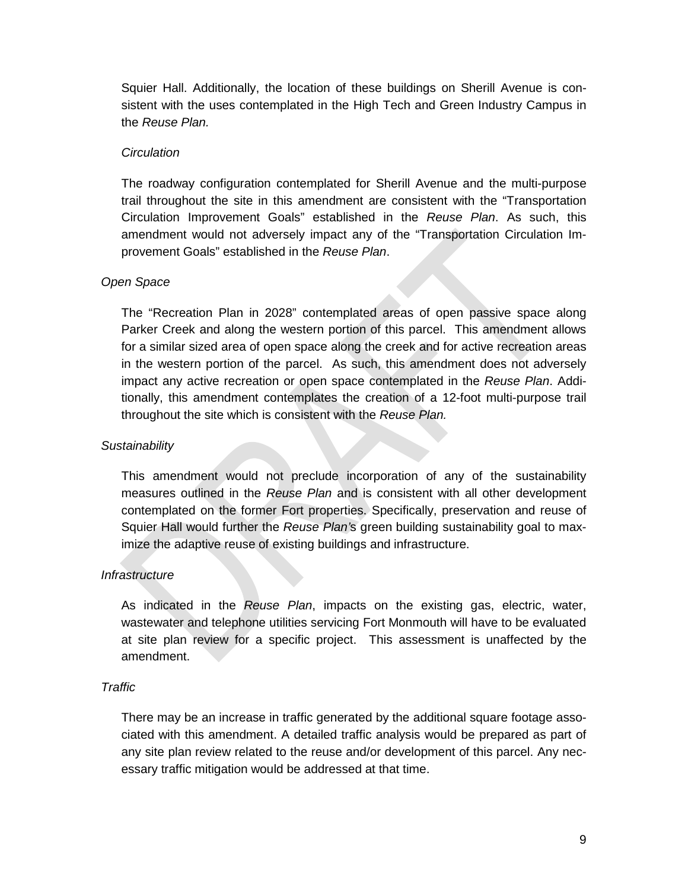Squier Hall. Additionally, the location of these buildings on Sherill Avenue is consistent with the uses contemplated in the High Tech and Green Industry Campus in the *Reuse Plan.*

#### *Circulation*

The roadway configuration contemplated for Sherill Avenue and the multi-purpose trail throughout the site in this amendment are consistent with the "Transportation Circulation Improvement Goals" established in the *Reuse Plan*. As such, this amendment would not adversely impact any of the "Transportation Circulation Improvement Goals" established in the *Reuse Plan*.

#### *Open Space*

The "Recreation Plan in 2028" contemplated areas of open passive space along Parker Creek and along the western portion of this parcel. This amendment allows for a similar sized area of open space along the creek and for active recreation areas in the western portion of the parcel. As such, this amendment does not adversely impact any active recreation or open space contemplated in the *Reuse Plan*. Additionally, this amendment contemplates the creation of a 12-foot multi-purpose trail throughout the site which is consistent with the *Reuse Plan.*

#### *Sustainability*

This amendment would not preclude incorporation of any of the sustainability measures outlined in the *Reuse Plan* and is consistent with all other development contemplated on the former Fort properties. Specifically, preservation and reuse of Squier Hall would further the *Reuse Plan'*s green building sustainability goal to maximize the adaptive reuse of existing buildings and infrastructure.

#### *Infrastructure*

As indicated in the *Reuse Plan*, impacts on the existing gas, electric, water, wastewater and telephone utilities servicing Fort Monmouth will have to be evaluated at site plan review for a specific project. This assessment is unaffected by the amendment.

#### *Traffic*

There may be an increase in traffic generated by the additional square footage associated with this amendment. A detailed traffic analysis would be prepared as part of any site plan review related to the reuse and/or development of this parcel. Any necessary traffic mitigation would be addressed at that time.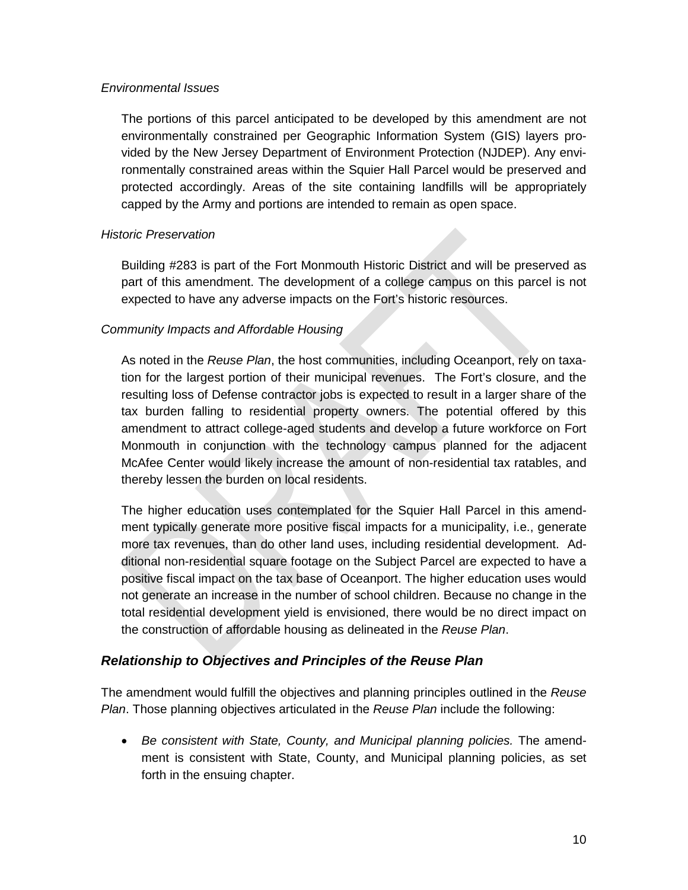#### *Environmental Issues*

The portions of this parcel anticipated to be developed by this amendment are not environmentally constrained per Geographic Information System (GIS) layers provided by the New Jersey Department of Environment Protection (NJDEP). Any environmentally constrained areas within the Squier Hall Parcel would be preserved and protected accordingly. Areas of the site containing landfills will be appropriately capped by the Army and portions are intended to remain as open space.

#### *Historic Preservation*

Building #283 is part of the Fort Monmouth Historic District and will be preserved as part of this amendment. The development of a college campus on this parcel is not expected to have any adverse impacts on the Fort's historic resources.

#### *Community Impacts and Affordable Housing*

As noted in the *Reuse Plan*, the host communities, including Oceanport, rely on taxation for the largest portion of their municipal revenues. The Fort's closure, and the resulting loss of Defense contractor jobs is expected to result in a larger share of the tax burden falling to residential property owners. The potential offered by this amendment to attract college-aged students and develop a future workforce on Fort Monmouth in conjunction with the technology campus planned for the adjacent McAfee Center would likely increase the amount of non-residential tax ratables, and thereby lessen the burden on local residents.

The higher education uses contemplated for the Squier Hall Parcel in this amendment typically generate more positive fiscal impacts for a municipality, i.e., generate more tax revenues, than do other land uses, including residential development. Additional non-residential square footage on the Subject Parcel are expected to have a positive fiscal impact on the tax base of Oceanport. The higher education uses would not generate an increase in the number of school children. Because no change in the total residential development yield is envisioned, there would be no direct impact on the construction of affordable housing as delineated in the *Reuse Plan*.

### <span id="page-11-0"></span>*Relationship to Objectives and Principles of the Reuse Plan*

The amendment would fulfill the objectives and planning principles outlined in the *Reuse Plan*. Those planning objectives articulated in the *Reuse Plan* include the following:

• *Be consistent with State, County, and Municipal planning policies.* The amendment is consistent with State, County, and Municipal planning policies, as set forth in the ensuing chapter.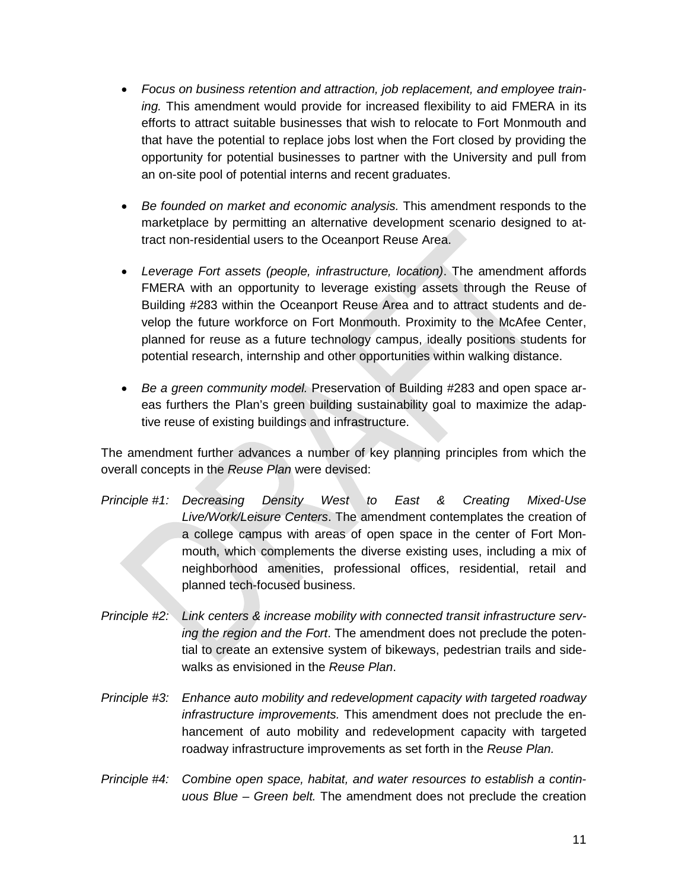- *Focus on business retention and attraction, job replacement, and employee training.* This amendment would provide for increased flexibility to aid FMERA in its efforts to attract suitable businesses that wish to relocate to Fort Monmouth and that have the potential to replace jobs lost when the Fort closed by providing the opportunity for potential businesses to partner with the University and pull from an on-site pool of potential interns and recent graduates.
- *Be founded on market and economic analysis.* This amendment responds to the marketplace by permitting an alternative development scenario designed to attract non-residential users to the Oceanport Reuse Area.
- *Leverage Fort assets (people, infrastructure, location)*. The amendment affords FMERA with an opportunity to leverage existing assets through the Reuse of Building #283 within the Oceanport Reuse Area and to attract students and develop the future workforce on Fort Monmouth. Proximity to the McAfee Center, planned for reuse as a future technology campus, ideally positions students for potential research, internship and other opportunities within walking distance.
- *Be a green community model.* Preservation of Building #283 and open space areas furthers the Plan's green building sustainability goal to maximize the adaptive reuse of existing buildings and infrastructure.

The amendment further advances a number of key planning principles from which the overall concepts in the *Reuse Plan* were devised:

- *Principle #1: Decreasing Density West to East & Creating Mixed-Use Live/Work/Leisure Centers*. The amendment contemplates the creation of a college campus with areas of open space in the center of Fort Monmouth, which complements the diverse existing uses, including a mix of neighborhood amenities, professional offices, residential, retail and planned tech-focused business.
- *Principle #2: Link centers & increase mobility with connected transit infrastructure serving the region and the Fort*. The amendment does not preclude the potential to create an extensive system of bikeways, pedestrian trails and sidewalks as envisioned in the *Reuse Plan*.
- *Principle #3: Enhance auto mobility and redevelopment capacity with targeted roadway infrastructure improvements.* This amendment does not preclude the enhancement of auto mobility and redevelopment capacity with targeted roadway infrastructure improvements as set forth in the *Reuse Plan.*
- *Principle #4: Combine open space, habitat, and water resources to establish a continuous Blue – Green belt.* The amendment does not preclude the creation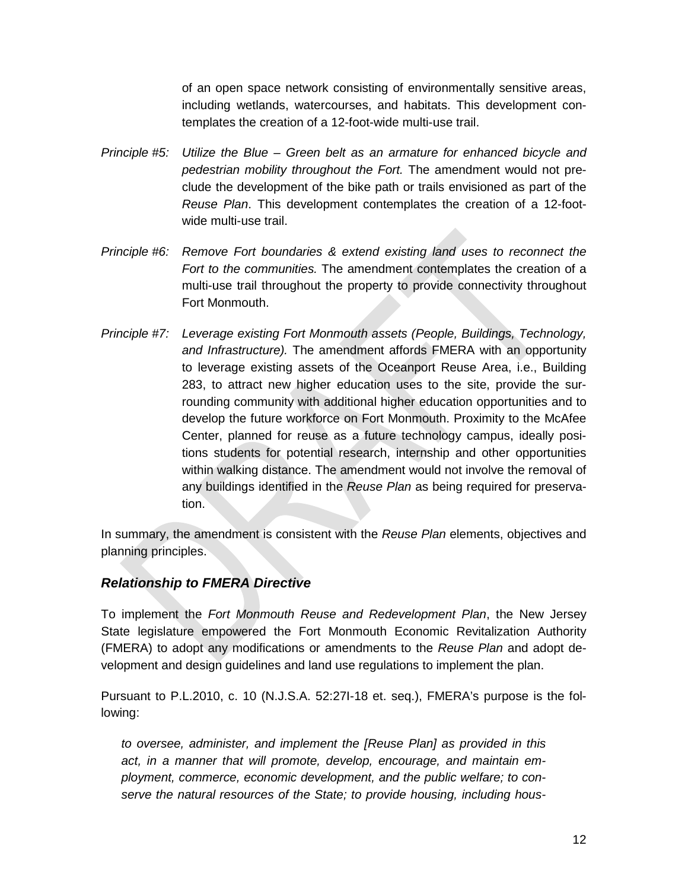of an open space network consisting of environmentally sensitive areas, including wetlands, watercourses, and habitats. This development contemplates the creation of a 12-foot-wide multi-use trail.

- *Principle #5: Utilize the Blue – Green belt as an armature for enhanced bicycle and pedestrian mobility throughout the Fort.* The amendment would not preclude the development of the bike path or trails envisioned as part of the *Reuse Plan*. This development contemplates the creation of a 12-footwide multi-use trail.
- *Principle #6: Remove Fort boundaries & extend existing land uses to reconnect the Fort to the communities.* The amendment contemplates the creation of a multi-use trail throughout the property to provide connectivity throughout Fort Monmouth.
- *Principle #7: Leverage existing Fort Monmouth assets (People, Buildings, Technology, and Infrastructure).* The amendment affords FMERA with an opportunity to leverage existing assets of the Oceanport Reuse Area, i.e., Building 283, to attract new higher education uses to the site, provide the surrounding community with additional higher education opportunities and to develop the future workforce on Fort Monmouth. Proximity to the McAfee Center, planned for reuse as a future technology campus, ideally positions students for potential research, internship and other opportunities within walking distance. The amendment would not involve the removal of any buildings identified in the *Reuse Plan* as being required for preservation.

In summary, the amendment is consistent with the *Reuse Plan* elements, objectives and planning principles.

## <span id="page-13-0"></span>*Relationship to FMERA Directive*

To implement the *Fort Monmouth Reuse and Redevelopment Plan*, the New Jersey State legislature empowered the Fort Monmouth Economic Revitalization Authority (FMERA) to adopt any modifications or amendments to the *Reuse Plan* and adopt development and design guidelines and land use regulations to implement the plan.

Pursuant to P.L.2010, c. 10 (N.J.S.A. 52:27I-18 et. seq.), FMERA's purpose is the following:

*to oversee, administer, and implement the [Reuse Plan] as provided in this act, in a manner that will promote, develop, encourage, and maintain employment, commerce, economic development, and the public welfare; to conserve the natural resources of the State; to provide housing, including hous-*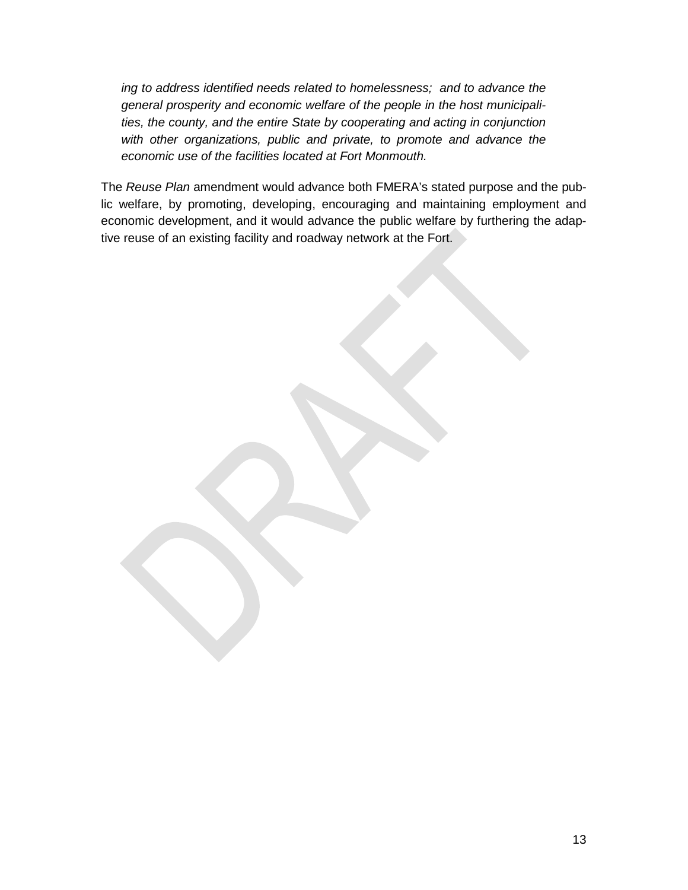*ing to address identified needs related to homelessness; and to advance the general prosperity and economic welfare of the people in the host municipalities, the county, and the entire State by cooperating and acting in conjunction with other organizations, public and private, to promote and advance the economic use of the facilities located at Fort Monmouth.*

The *Reuse Plan* amendment would advance both FMERA's stated purpose and the public welfare, by promoting, developing, encouraging and maintaining employment and economic development, and it would advance the public welfare by furthering the adaptive reuse of an existing facility and roadway network at the Fort.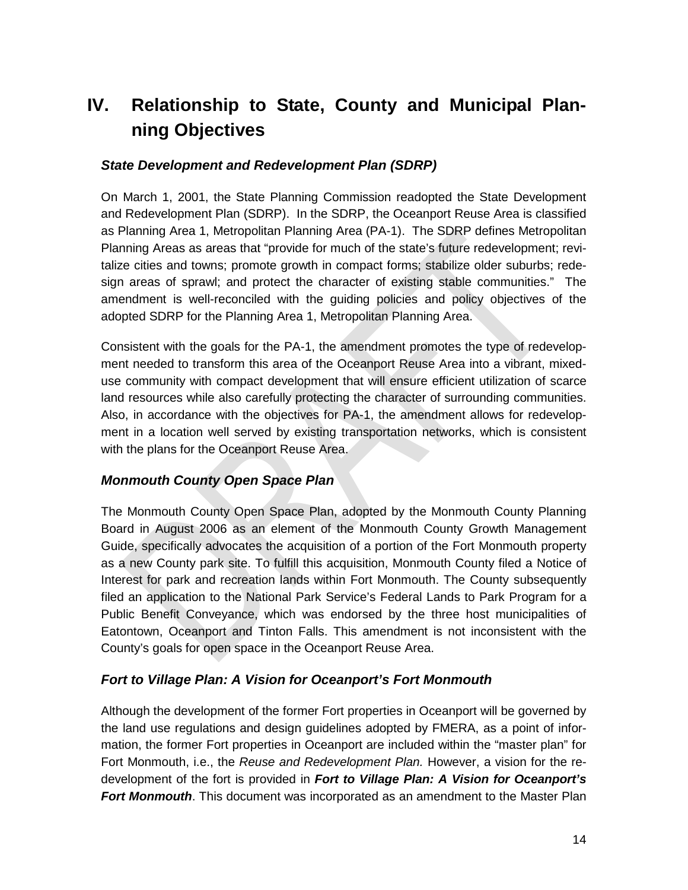# <span id="page-15-0"></span>**IV. Relationship to State, County and Municipal Planning Objectives**

### <span id="page-15-1"></span>*State Development and Redevelopment Plan (SDRP)*

On March 1, 2001, the State Planning Commission readopted the State Development and Redevelopment Plan (SDRP). In the SDRP, the Oceanport Reuse Area is classified as Planning Area 1, Metropolitan Planning Area (PA-1). The SDRP defines Metropolitan Planning Areas as areas that "provide for much of the state's future redevelopment; revitalize cities and towns; promote growth in compact forms; stabilize older suburbs; redesign areas of sprawl; and protect the character of existing stable communities." The amendment is well-reconciled with the guiding policies and policy objectives of the adopted SDRP for the Planning Area 1, Metropolitan Planning Area.

Consistent with the goals for the PA-1, the amendment promotes the type of redevelopment needed to transform this area of the Oceanport Reuse Area into a vibrant, mixeduse community with compact development that will ensure efficient utilization of scarce land resources while also carefully protecting the character of surrounding communities. Also, in accordance with the objectives for PA-1, the amendment allows for redevelopment in a location well served by existing transportation networks, which is consistent with the plans for the Oceanport Reuse Area.

## <span id="page-15-2"></span>*Monmouth County Open Space Plan*

The Monmouth County Open Space Plan, adopted by the Monmouth County Planning Board in August 2006 as an element of the Monmouth County Growth Management Guide, specifically advocates the acquisition of a portion of the Fort Monmouth property as a new County park site. To fulfill this acquisition, Monmouth County filed a Notice of Interest for park and recreation lands within Fort Monmouth. The County subsequently filed an application to the National Park Service's Federal Lands to Park Program for a Public Benefit Conveyance, which was endorsed by the three host municipalities of Eatontown, Oceanport and Tinton Falls. This amendment is not inconsistent with the County's goals for open space in the Oceanport Reuse Area.

### <span id="page-15-3"></span>*Fort to Village Plan: A Vision for Oceanport's Fort Monmouth*

Although the development of the former Fort properties in Oceanport will be governed by the land use regulations and design guidelines adopted by FMERA, as a point of information, the former Fort properties in Oceanport are included within the "master plan" for Fort Monmouth, i.e., the *Reuse and Redevelopment Plan.* However, a vision for the redevelopment of the fort is provided in *Fort to Village Plan: A Vision for Oceanport's Fort Monmouth*. This document was incorporated as an amendment to the Master Plan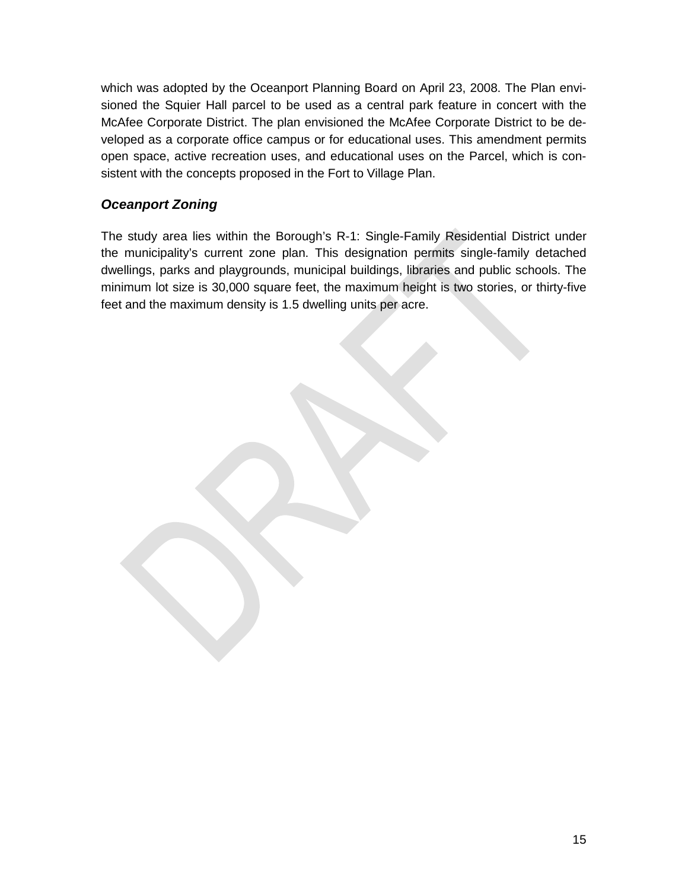which was adopted by the Oceanport Planning Board on April 23, 2008. The Plan envisioned the Squier Hall parcel to be used as a central park feature in concert with the McAfee Corporate District. The plan envisioned the McAfee Corporate District to be developed as a corporate office campus or for educational uses. This amendment permits open space, active recreation uses, and educational uses on the Parcel, which is consistent with the concepts proposed in the Fort to Village Plan.

## <span id="page-16-0"></span>*Oceanport Zoning*

The study area lies within the Borough's R-1: Single-Family Residential District under the municipality's current zone plan. This designation permits single-family detached dwellings, parks and playgrounds, municipal buildings, libraries and public schools. The minimum lot size is 30,000 square feet, the maximum height is two stories, or thirty-five feet and the maximum density is 1.5 dwelling units per acre.